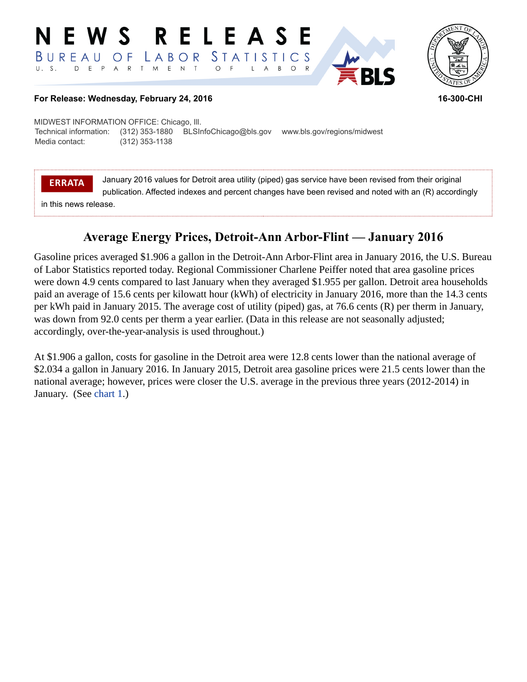#### RELEASE E W S STATISTICS BUREAU LABOR O F D E P A R T M E N  $T$  $\circ$  $B$  $\circ$  $\mathsf{L}$  $\overline{A}$



### **For Release: Wednesday, February 24, 2016 16-300-CHI**

MIDWEST INFORMATION OFFICE: Chicago, Ill. Technical information: (312) 353-1880 BLSInfoChicago@bls.gov www.bls.gov/regions/midwest Media contact: (312) 353-1138

**ERRATA**

January 2016 values for Detroit area utility (piped) gas service have been revised from their original publication. Affected indexes and percent changes have been revised and noted with an (R) accordingly

in this news release.

# **Average Energy Prices, Detroit-Ann Arbor-Flint — January 2016**

Gasoline prices averaged \$1.906 a gallon in the Detroit-Ann Arbor-Flint area in January 2016, the U.S. Bureau of Labor Statistics reported today. Regional Commissioner Charlene Peiffer noted that area gasoline prices were down 4.9 cents compared to last January when they averaged \$1.955 per gallon. Detroit area households paid an average of 15.6 cents per kilowatt hour (kWh) of electricity in January 2016, more than the 14.3 cents per kWh paid in January 2015. The average cost of utility (piped) gas, at 76.6 cents (R) per therm in January, was down from 92.0 cents per therm a year earlier. (Data in this release are not seasonally adjusted; accordingly, over-the-year-analysis is used throughout.)

At \$1.906 a gallon, costs for gasoline in the Detroit area were 12.8 cents lower than the national average of \$2.034 a gallon in January 2016. In January 2015, Detroit area gasoline prices were 21.5 cents lower than the national average; however, prices were closer the U.S. average in the previous three years (2012-2014) in January. (See [chart 1](#page-1-0).)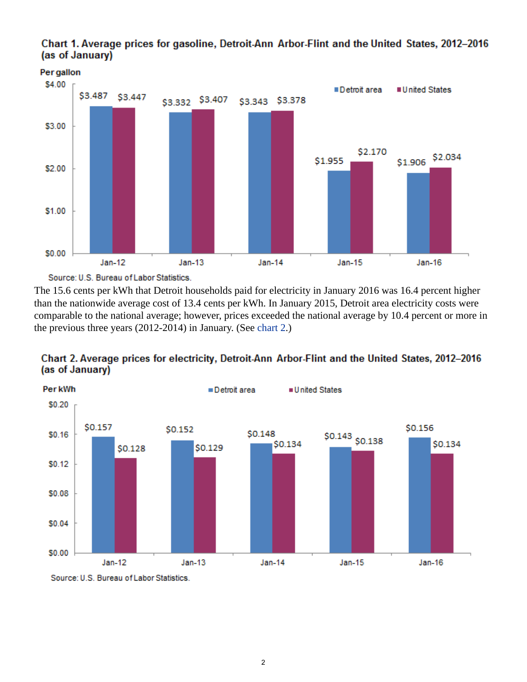

<span id="page-1-0"></span>Chart 1. Average prices for gasoline, Detroit-Ann Arbor-Flint and the United States, 2012-2016 (as of January)

Source: U.S. Bureau of Labor Statistics.

The 15.6 cents per kWh that Detroit households paid for electricity in January 2016 was 16.4 percent higher than the nationwide average cost of 13.4 cents per kWh. In January 2015, Detroit area electricity costs were comparable to the national average; however, prices exceeded the national average by 10.4 percent or more in the previous three years (2012-2014) in January. (See [chart 2.](#page-1-1))

<span id="page-1-1"></span>



Source: U.S. Bureau of Labor Statistics.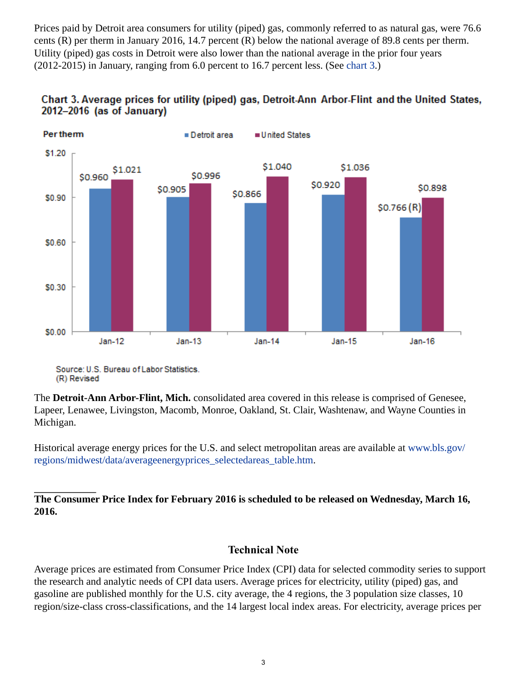Prices paid by Detroit area consumers for utility (piped) gas, commonly referred to as natural gas, were 76.6 cents (R) per therm in January 2016, 14.7 percent (R) below the national average of 89.8 cents per therm. Utility (piped) gas costs in Detroit were also lower than the national average in the prior four years (2012-2015) in January, ranging from 6.0 percent to 16.7 percent less. (See [chart 3.](#page-2-0))



<span id="page-2-0"></span>

The **Detroit-Ann Arbor-Flint, Mich.** consolidated area covered in this release is comprised of Genesee, Lapeer, Lenawee, Livingston, Macomb, Monroe, Oakland, St. Clair, Washtenaw, and Wayne Counties in Michigan.

Historical average energy prices for the U.S. and select metropolitan areas are available at [www.bls.gov/](https://www.bls.gov/regions/midwest/data/averageenergyprices_selectedareas_table.htm) [regions/midwest/data/averageenergyprices\\_selectedareas\\_table.htm.](https://www.bls.gov/regions/midwest/data/averageenergyprices_selectedareas_table.htm)

## **The Consumer Price Index for February 2016 is scheduled to be released on Wednesday, March 16, 2016.**

## **Technical Note**

Average prices are estimated from Consumer Price Index (CPI) data for selected commodity series to support the research and analytic needs of CPI data users. Average prices for electricity, utility (piped) gas, and gasoline are published monthly for the U.S. city average, the 4 regions, the 3 population size classes, 10 region/size-class cross-classifications, and the 14 largest local index areas. For electricity, average prices per

Source: U.S. Bureau of Labor Statistics. (R) Revised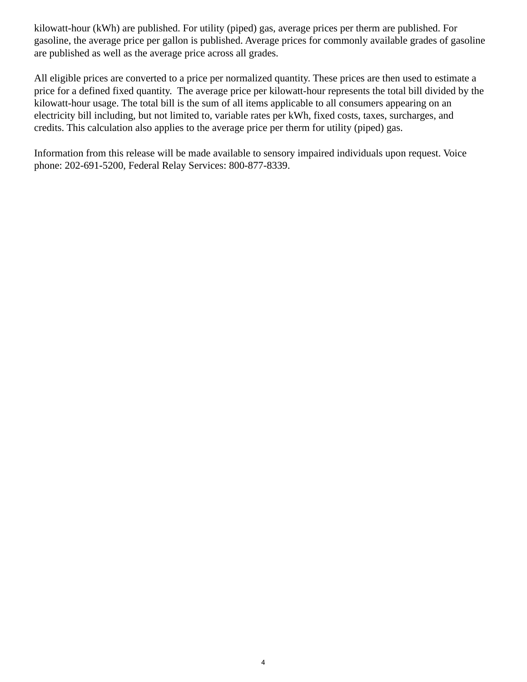kilowatt-hour (kWh) are published. For utility (piped) gas, average prices per therm are published. For gasoline, the average price per gallon is published. Average prices for commonly available grades of gasoline are published as well as the average price across all grades.

All eligible prices are converted to a price per normalized quantity. These prices are then used to estimate a price for a defined fixed quantity. The average price per kilowatt-hour represents the total bill divided by the kilowatt-hour usage. The total bill is the sum of all items applicable to all consumers appearing on an electricity bill including, but not limited to, variable rates per kWh, fixed costs, taxes, surcharges, and credits. This calculation also applies to the average price per therm for utility (piped) gas.

Information from this release will be made available to sensory impaired individuals upon request. Voice phone: 202-691-5200, Federal Relay Services: 800-877-8339.